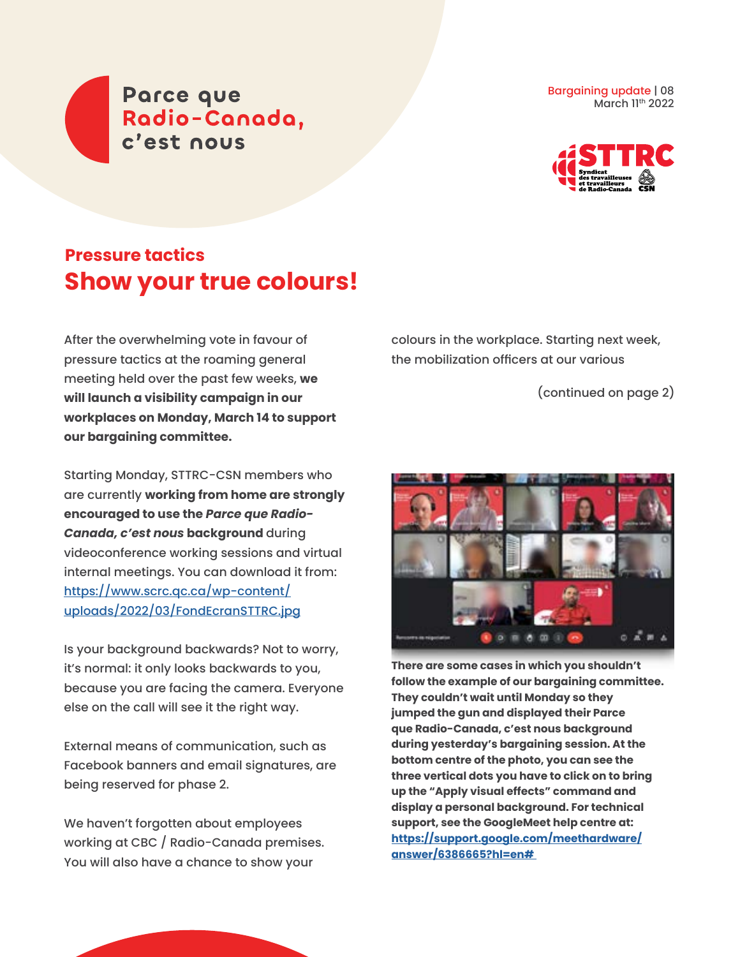Parce que Radio-Canada, c'est nous

Bargaining update | 08 March 11th 2022



## **Pressure tactics Show your true colours!**

After the overwhelming vote in favour of pressure tactics at the roaming general meeting held over the past few weeks, **we will launch a visibility campaign in our workplaces on Monday, March 14 to support our bargaining committee.** 

Starting Monday, STTRC-CSN members who are currently **working from home are strongly encouraged to use the** *Parce que Radio-Canada, c'est nous* **background** during videoconference working sessions and virtual internal meetings. You can download it from: [https://www.scrc.qc.ca/wp-content/](https://www.scrc.qc.ca/wp-content/uploads/2022/03/FondEcranSTTRC.jpg) [uploads/2022/03/FondEcranSTTRC.jpg](https://www.scrc.qc.ca/wp-content/uploads/2022/03/FondEcranSTTRC.jpg)

Is your background backwards? Not to worry, it's normal: it only looks backwards to you, because you are facing the camera. Everyone else on the call will see it the right way.

External means of communication, such as Facebook banners and email signatures, are being reserved for phase 2.

We haven't forgotten about employees working at CBC / Radio-Canada premises. You will also have a chance to show your

colours in the workplace. Starting next week, the mobilization officers at our various

(continued on page 2)



**There are some cases in which you shouldn't follow the example of our bargaining committee. They couldn't wait until Monday so they jumped the gun and displayed their Parce que Radio-Canada, c'est nous background during yesterday's bargaining session. At the bottom centre of the photo, you can see the three vertical dots you have to click on to bring up the "Apply visual effects" command and display a personal background. For technical support, see the GoogleMeet help centre at: [https://support.google.com/meethardware/](https://support.google.com/meethardware/answer/6386665?hl=en#) [answer/6386665?hl=en#](https://support.google.com/meethardware/answer/6386665?hl=en#)**